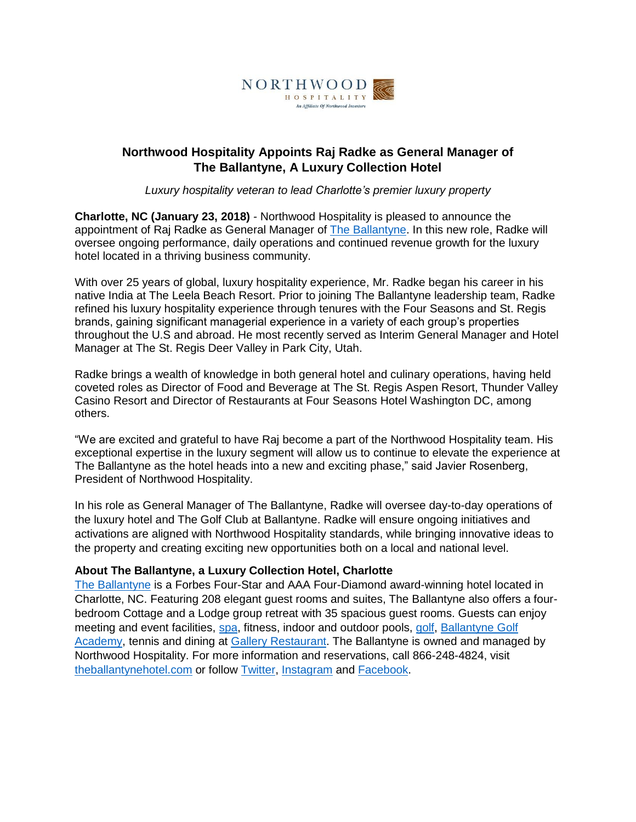

## **Northwood Hospitality Appoints Raj Radke as General Manager of The Ballantyne, A Luxury Collection Hotel**

*Luxury hospitality veteran to lead Charlotte's premier luxury property*

**Charlotte, NC (January 23, 2018)** *-* Northwood Hospitality is pleased to announce the appointment of Raj Radke as General Manager of The [Ballantyne.](http://www.theballantynehotel.com/) In this new role, Radke will oversee ongoing performance, daily operations and continued revenue growth for the luxury hotel located in a thriving business community.

With over 25 years of global, luxury hospitality experience, Mr. Radke began his career in his native India at The Leela Beach Resort. Prior to joining The Ballantyne leadership team, Radke refined his luxury hospitality experience through tenures with the Four Seasons and St. Regis brands, gaining significant managerial experience in a variety of each group's properties throughout the U.S and abroad. He most recently served as Interim General Manager and Hotel Manager at The St. Regis Deer Valley in Park City, Utah.

Radke brings a wealth of knowledge in both general hotel and culinary operations, having held coveted roles as Director of Food and Beverage at The St. Regis Aspen Resort, Thunder Valley Casino Resort and Director of Restaurants at Four Seasons Hotel Washington DC, among others.

"We are excited and grateful to have Raj become a part of the Northwood Hospitality team. His exceptional expertise in the luxury segment will allow us to continue to elevate the experience at The Ballantyne as the hotel heads into a new and exciting phase," said Javier Rosenberg, President of Northwood Hospitality.

In his role as General Manager of The Ballantyne, Radke will oversee day-to-day operations of the luxury hotel and The Golf Club at Ballantyne. Radke will ensure ongoing initiatives and activations are aligned with Northwood Hospitality standards, while bringing innovative ideas to the property and creating exciting new opportunities both on a local and national level.

## **About The Ballantyne, a Luxury Collection Hotel, Charlotte**

[The Ballantyne](http://www.theballantynehotel.com/) is a Forbes Four-Star and AAA Four-Diamond award-winning hotel located in Charlotte, NC. Featuring 208 elegant guest rooms and suites, The Ballantyne also offers a fourbedroom Cottage and a Lodge group retreat with 35 spacious guest rooms. Guests can enjoy meeting and event facilities, [spa,](http://www.spaballantyne.com/) fitness, indoor and outdoor pools, [golf,](http://www.golfballantyne.com/) [Ballantyne Golf](http://www.ballantynegolfacademy.com/)  [Academy,](http://www.ballantynegolfacademy.com/) tennis and dining at [Gallery Restaurant.](http://www.gallery-restaurant.com/) The Ballantyne is owned and managed by Northwood Hospitality. For more information and reservations, call 866-248-4824, visit [theballantynehotel.com](http://theballantynehotel.com/) or follow [Twitter,](http://www.twitter.com/ballantynehotel) [Instagram](https://www.instagram.com/ballantynehotel/) and [Facebook.](http://www.facebook.com/ballantynehotel)